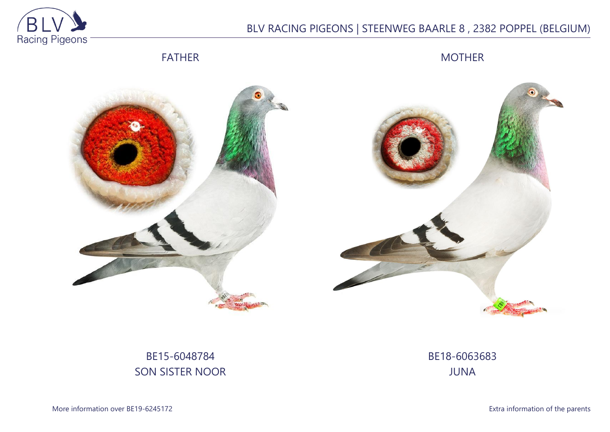

## BLV RACING PIGEONS | STEENWEG BAARLE 8 , 2382 POPPEL (BELGIUM)

FATHER

MOTHER



## BE15-6048784 SON SISTER NOOR

BE18-6063683 JUNA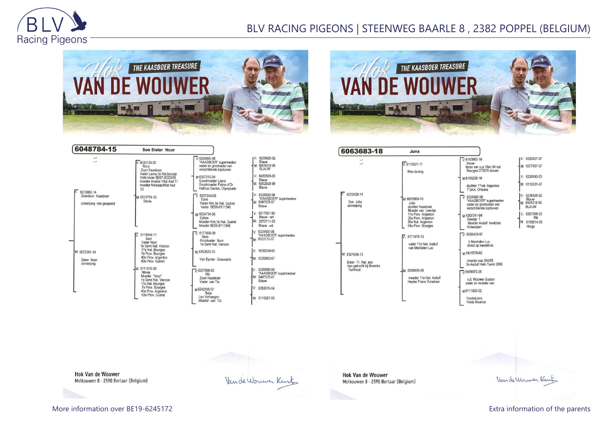

## BLV RACING PIGEONS | STEENWEG BAARLE 8 , 2382 POPPEL (BELGIUM)





| 6048784-15                                                      | <b>Son Sister Noor</b>                                                                                                                                       |                                                                                                                                                               |                                                                                                               |
|-----------------------------------------------------------------|--------------------------------------------------------------------------------------------------------------------------------------------------------------|---------------------------------------------------------------------------------------------------------------------------------------------------------------|---------------------------------------------------------------------------------------------------------------|
| -.<br>$\overline{\phantom{a}}$                                  | $V: 6033129 - 07$<br>Rony<br>Zoon Kaasboer<br>Vader Laura, 1e Nat.bourge<br>Volle broer BE07-6033018<br>moeder Amalia 1Nat Asd 11<br>moeder Nikolaas1Nat Asd | $V.6335690-98$<br>"KAASBOER" superkweker<br>vader en grootvader van<br>verschillende topduiven<br>M:6307210-04<br>Grootmoeder Laura<br>Grootmoeder Palme d'Or | V: 6235626-92<br>Blauw<br>M: 6404318-96<br><b>BLAUW</b><br>$V: 6480508-00$<br>Blauw<br>M: 6352928-99<br>Blauw |
| $V: 6072460-14$<br>Grandson Kaasboer<br>zomerjong niet gespeeld | 13<br>M: 6313774-13<br>Denis                                                                                                                                 | Halfzus Gaston, Olympiade<br>$V: 6257240-03$<br>Torre<br>Vader Kim.1e Nat. Guéret<br>Vader BE09-6111546                                                       | V: 6335690-98<br>"KAASBOER" superk<br>M: 6407575-97<br>Blauw                                                  |
|                                                                 |                                                                                                                                                              | M:6034734-06<br>Celien<br>Moeder Kim, 1e Nat. Guéret<br>Moeder BE09-6111546                                                                                   | $V: 6517591-99$<br>Blauw - wit<br>M: 2072711-02<br>Blauw - wit                                                |
| M: 6072391-14<br>Sister Noor<br>zomerjong                       | $\sqrt{6}$ 6119144-11<br>Sam<br>Vader Noor<br>1e Semi Nat. Vierzon                                                                                           | $V· 6177698-08$<br><b>Niels</b><br>Grootvader Noor<br>1e Semi Nat. Vierzon                                                                                    | V: 6335690-98<br>"KAASBOER" superkw<br>M: 6033110-07                                                          |
|                                                                 | 17e Nat. Bourges<br>7e Prov. Bourges<br>40e Prov. Argenton<br>63e Prov. Guéret                                                                               | M-6163823-10<br>Van Eynde - Goovaerts                                                                                                                         | 6032539-05<br>V:<br>M: 6320803-07                                                                             |
|                                                                 | M: 6111515-09<br>Minoe<br>Moeder "Noor"<br>1e Semi Nat. Vierzon<br>17e Nat. Bourges<br>7e Prov. Bourges<br>40e Prov. Argenton<br>63e Prov. Guéret            | $V.6257098-03$<br>Rik<br>Zoon Kaasboer<br>Vader van Tia<br>M6242318-07<br>Beia                                                                                | 6335690-98<br>V:<br>"KAASBOER" superky<br>M: 6407575-97<br>Blauw<br>V: 6358919-04                             |
|                                                                 |                                                                                                                                                              | Leo Verhaegen<br>Moeder van Tia                                                                                                                               | M: 6110267-06                                                                                                 |

|    | 6235626-92                              |
|----|-----------------------------------------|
| M: | Blauw<br>6404318-96<br><b>BLAUW</b>     |
|    | 6480508-00                              |
|    | Blauw<br>6352928-99<br>Blauw            |
|    | 6335690-98<br>"KAASBOER" superkweker    |
|    | 6407575-97<br>Blauw                     |
|    | 6517591-99<br>Blauw - wit               |
| M: | 2072711-02                              |
|    | Blauw - wit                             |
|    | 6335690-98<br>"KAASBOER" superkweker    |
|    | M: 6033110-07                           |
|    | $V: 6032539-05$                         |
| M: | 6320803-07                              |
|    | 6335690-98                              |
|    | "KAASBOER" superkweker<br>M: 6407575-97 |
|    | Blauw                                   |
|    | V: 6358919-04                           |
|    | M: 6110267-06                           |

| 6063683-18                                                 | Juna                                                                                                                                                   |                                                                                                                                                  |                                                            |
|------------------------------------------------------------|--------------------------------------------------------------------------------------------------------------------------------------------------------|--------------------------------------------------------------------------------------------------------------------------------------------------|------------------------------------------------------------|
| ۰.<br>- -                                                  | $V: 6115021 - 11$<br>Wim de troy                                                                                                                       | $V: 6163863-10$<br>blauw<br>broer van o.a 16en 94 nat<br>Bourges 373570 duiven                                                                   | V: 6320827-07<br>M: 6377967-07                             |
| $\nabla: 6072428 - 14$<br>Son Julia<br>zomerjong           |                                                                                                                                                        | M:6166238-10<br>dochter 1°nat. Argenton<br>1° prov. Orleans                                                                                      | V: 6226043-03<br>M: 6110331-07                             |
|                                                            | M: 6031800-10<br>Julia<br>dochter Kaasboer<br>Moeder van Leentje<br>11e Prov. Argenton<br>30e Prov. Argenton<br>86e Nat. Argenton<br>64e Prov. Bourges | $V: 6335690 - 98$<br>"KAASBOER" superkweker<br>vader en grootvader van<br>verschillende topduiven                                                | 6235626-92<br>V:<br>Blauw<br>M: 6404318-96<br><b>BLAUW</b> |
|                                                            |                                                                                                                                                        | M:6307341-04<br>Greetie 1<br>Moeder Asduif fondclub<br>Antwerpen                                                                                 | V: 6257098-03<br>Rik<br>M: 6150214-03<br>Helga             |
|                                                            | 6171878-10<br>V.<br>vader 11e Nat. Asduif<br>van Mechelen Luc                                                                                          | $\nabla: 6026439-07$<br>V.Mechelen Luc<br>direct op kweekhok                                                                                     |                                                            |
| M: 6321624-13                                              |                                                                                                                                                        | M:6416576-02                                                                                                                                     |                                                            |
| Sister 11, Nat. ace<br>bon gekocht bij Broeckx<br>Turnhout | M: 6050636-08<br>moeder 11e Nat. Asduif<br><b>Hevlen Frans Vorselaar</b>                                                                               | moeder van 244/05<br>3e Asduif Hafo Turnh 2006<br>$\nabla 6409372-06$<br>v.d. Wouwer Gaston<br>vader en moeder van<br>M6111820-02<br>Voetsduivin |                                                            |
|                                                            |                                                                                                                                                        | <i>Voote Mourice</i>                                                                                                                             |                                                            |

Voetsduivin<br>Voets Maurice

Hok Van de Wouwer Melkouwen 8 - 2590 Berlaar (Belgium)

Van de Wouwer Kurtz

**Hok Van de Wouwer** Melkouwen 8 - 2590 Berlaar (Belgium)

Van de Wormer Kint

More information over BE19-6245172 **Extra information of the parents**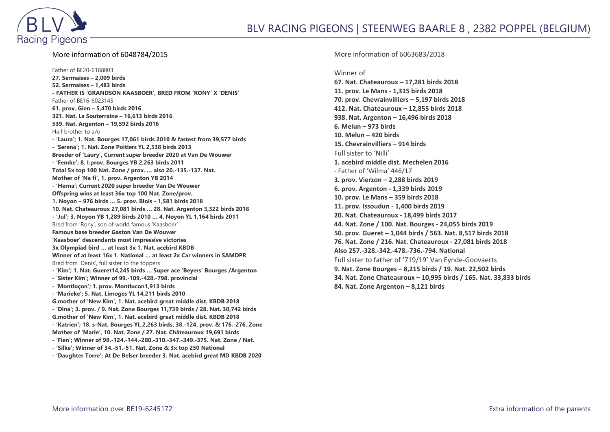

## More information of 6048784/2015

Father of BE20-6188003 **27. Sermaises – 2,009 birds 52. Sermaises – 1,483 birds - FATHER IS 'GRANDSON KAASBOER', BRED FROM 'RONY' X 'DENIS'** Father of BE16-6023145 **61. prov. Gien – 5,470 birds 2016 321. Nat. La Souterraine – 16,613 birds 2016 539. Nat. Argenton – 19,592 birds 2016** Half brother to a/o **- 'Laura'; 1. Nat. Bourges 17,061 birds 2010 & fastest from 39,577 birds - 'Serena'; 1. Nat. Zone Poitiers YL 2,538 birds 2013 Breeder of 'Laury', Current super breeder 2020 at Van De Wouwer - 'Femke'; 8. I.prov. Bourges YB 2,263 birds 2011 Total 5x top 100 Nat. Zone / prov. … also 20.-135.-137. Nat. Mother of 'Na fi', 1. prov. Argenton YB 2014 - 'Herna'; Current 2020 super breeder Van De Wouwer Offspring wins at least 36x top 100 Nat. Zone/prov. 1. Noyon – 976 birds … 5. prov. Blois - 1,581 birds 2018 10. Nat. Chateauroux 27,081 birds … 28. Nat. Argenton 3,322 birds 2018 - 'Jul'; 3. Noyon YB 1,289 birds 2010 … 4. Noyon YL 1,164 birds 2011** Bred from 'Rony', son of world famous 'Kaasboer' **Famous base breeder Gaston Van De Wouwer 'Kaasboer' descendants most impressive victories 3x Olympiad bird … at least 3x 1. Nat. acebird KBDB Winner of at least 16x 1. National … at least 2x Car winners in SAMDPR** Bred from 'Denis', full sister to the toppers **- 'Kim'; 1. Nat. Gueret14,245 birds … Super ace 'Beyers' Bourges /Argenton - 'Sister Kim'; Winner of 99.-109.-428.-798. provincial - 'Montluçon'; 1. prov. Montlucon1,913 birds - 'Marieke'; 5. Nat. Limoges YL 14,211 birds 2010 G.mother of 'New Kim', 1. Nat. acebird great middle dist. KBDB 2018 - 'Dina'; 3. prov. / 9. Nat. Zone Bourges 11,739 birds / 28. Nat. 30,742 birds G.mother of 'New Kim', 1. Nat. acebird great middle dist. KBDB 2018 - 'Katrien'; 18. s-Nat. Bourges YL 2,263 birds, 38.-124. prov. & 176.-276. Zone Mother of 'Marie', 10. Nat. Zone / 27. Nat. Châteauroux 19,691 birds - 'Fien'; Winner of 98.-124.-144.-280.-310.-347.-349.-375. Nat. Zone / Nat. - 'Silke'; Winner of 34.-51.-51. Nat. Zone & 3x top 250 National - 'Daughter Torre'; At De Belser breeder 3. Nat. acebird great MD KBDB 2020**

More information of 6063683/2018

Winner of

**67. Nat. Chateauroux – 17,281 birds 2018 11. prov. Le Mans - 1,315 birds 2018 70. prov. Chevrainvilliers – 5,197 birds 2018 412. Nat. Chateauroux – 12,855 birds 2018 938. Nat. Argenton – 16,496 birds 2018 6. Melun – 973 birds 10. Melun – 420 birds 15. Chevrainvilliers – 914 birds** Full sister to 'Nilli' **1. acebird middle dist. Mechelen 2016** - Father of 'Wilma' 446/17 **3. prov. Vierzon – 2,288 birds 2019 6. prov. Argenton - 1,339 birds 2019 10. prov. Le Mans – 359 birds 2018 11. prov. Issoudun - 1,400 birds 2019 20. Nat. Chateauroux - 18,499 birds 2017 44. Nat. Zone / 100. Nat. Bourges - 24,055 birds 2019 50. prov. Gueret – 1,044 birds / 563. Nat. 8,517 birds 2018 76. Nat. Zone / 216. Nat. Chateauroux - 27,081 birds 2018 Also 257.-328.-342.-478.-736.-794. National** Full sister to father of '719/19' Van Eynde-Goovaerts **9. Nat. Zone Bourges – 8,215 birds / 19. Nat. 22,502 birds 34. Nat. Zone Chateauroux – 10,995 birds / 165. Nat. 33,833 birds 84. Nat. Zone Argenton – 8,121 birds**